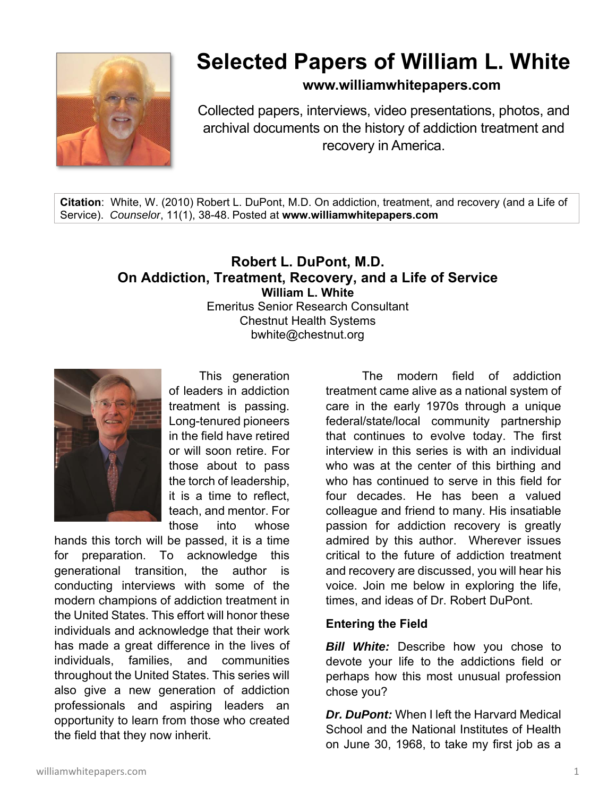

# **Selected Papers of William L. White**

**www.williamwhitepapers.com**

Collected papers, interviews, video presentations, photos, and archival documents on the history of addiction treatment and recovery in America.

**Citation**: White, W. (2010) Robert L. DuPont, M.D. On addiction, treatment, and recovery (and a Life of Service). *Counselor*, 11(1), 38-48. Posted at **www.williamwhitepapers.com** 

# **Robert L. DuPont, M.D. On Addiction, Treatment, Recovery, and a Life of Service William L. White**  Emeritus Senior Research Consultant Chestnut Health Systems bwhite@chestnut.org



 This generation of leaders in addiction treatment is passing. Long-tenured pioneers in the field have retired or will soon retire. For those about to pass the torch of leadership, it is a time to reflect, teach, and mentor. For those into whose

hands this torch will be passed, it is a time for preparation. To acknowledge this generational transition, the author is conducting interviews with some of the modern champions of addiction treatment in the United States. This effort will honor these individuals and acknowledge that their work has made a great difference in the lives of individuals, families, and communities throughout the United States. This series will also give a new generation of addiction professionals and aspiring leaders an opportunity to learn from those who created the field that they now inherit.

 The modern field of addiction treatment came alive as a national system of care in the early 1970s through a unique federal/state/local community partnership that continues to evolve today. The first interview in this series is with an individual who was at the center of this birthing and who has continued to serve in this field for four decades. He has been a valued colleague and friend to many. His insatiable passion for addiction recovery is greatly admired by this author. Wherever issues critical to the future of addiction treatment and recovery are discussed, you will hear his voice. Join me below in exploring the life, times, and ideas of Dr. Robert DuPont.

#### **Entering the Field**

*Bill White:* Describe how you chose to devote your life to the addictions field or perhaps how this most unusual profession chose you?

*Dr. DuPont:* When I left the Harvard Medical School and the National Institutes of Health on June 30, 1968, to take my first job as a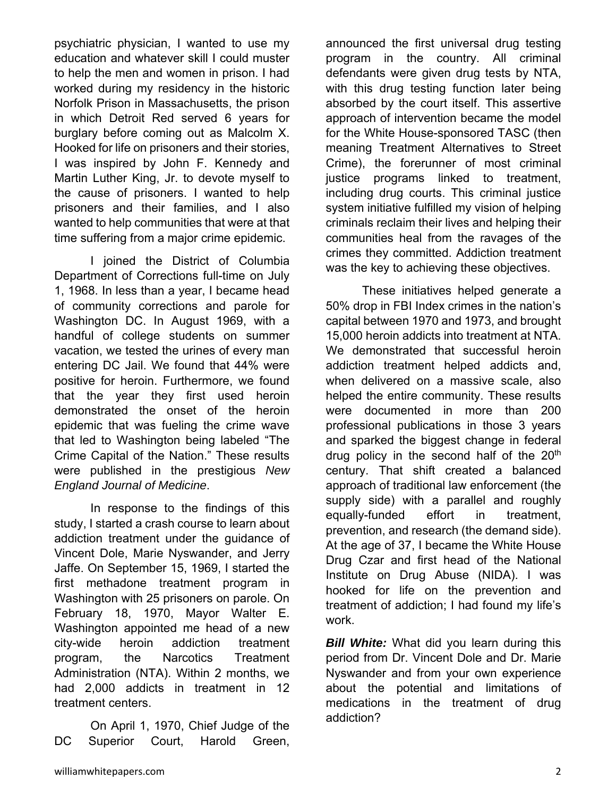psychiatric physician, I wanted to use my education and whatever skill I could muster to help the men and women in prison. I had worked during my residency in the historic Norfolk Prison in Massachusetts, the prison in which Detroit Red served 6 years for burglary before coming out as Malcolm X. Hooked for life on prisoners and their stories, I was inspired by John F. Kennedy and Martin Luther King, Jr. to devote myself to the cause of prisoners. I wanted to help prisoners and their families, and I also wanted to help communities that were at that time suffering from a major crime epidemic.

 I joined the District of Columbia Department of Corrections full-time on July 1, 1968. In less than a year, I became head of community corrections and parole for Washington DC. In August 1969, with a handful of college students on summer vacation, we tested the urines of every man entering DC Jail. We found that 44% were positive for heroin. Furthermore, we found that the year they first used heroin demonstrated the onset of the heroin epidemic that was fueling the crime wave that led to Washington being labeled "The Crime Capital of the Nation." These results were published in the prestigious *New England Journal of Medicine*.

 In response to the findings of this study, I started a crash course to learn about addiction treatment under the guidance of Vincent Dole, Marie Nyswander, and Jerry Jaffe. On September 15, 1969, I started the first methadone treatment program in Washington with 25 prisoners on parole. On February 18, 1970, Mayor Walter E. Washington appointed me head of a new city-wide heroin addiction treatment program, the Narcotics Treatment Administration (NTA). Within 2 months, we had 2,000 addicts in treatment in 12 treatment centers.

 On April 1, 1970, Chief Judge of the DC Superior Court, Harold Green,

announced the first universal drug testing program in the country. All criminal defendants were given drug tests by NTA, with this drug testing function later being absorbed by the court itself. This assertive approach of intervention became the model for the White House-sponsored TASC (then meaning Treatment Alternatives to Street Crime), the forerunner of most criminal justice programs linked to treatment. including drug courts. This criminal justice system initiative fulfilled my vision of helping criminals reclaim their lives and helping their communities heal from the ravages of the crimes they committed. Addiction treatment was the key to achieving these objectives.

 These initiatives helped generate a 50% drop in FBI Index crimes in the nation's capital between 1970 and 1973, and brought 15,000 heroin addicts into treatment at NTA. We demonstrated that successful heroin addiction treatment helped addicts and, when delivered on a massive scale, also helped the entire community. These results were documented in more than 200 professional publications in those 3 years and sparked the biggest change in federal drug policy in the second half of the  $20<sup>th</sup>$ century. That shift created a balanced approach of traditional law enforcement (the supply side) with a parallel and roughly equally-funded effort in treatment, prevention, and research (the demand side). At the age of 37, I became the White House Drug Czar and first head of the National Institute on Drug Abuse (NIDA). I was hooked for life on the prevention and treatment of addiction; I had found my life's work.

**Bill White:** What did you learn during this period from Dr. Vincent Dole and Dr. Marie Nyswander and from your own experience about the potential and limitations of medications in the treatment of drug addiction?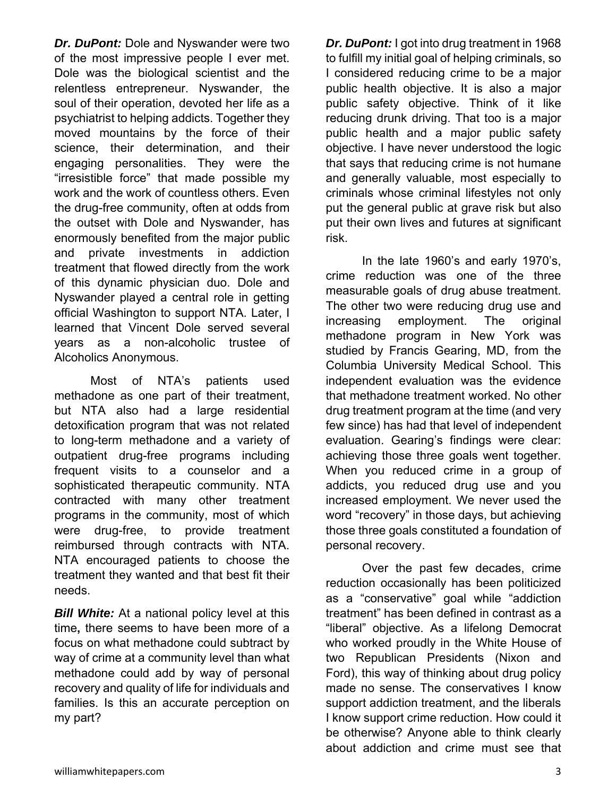*Dr. DuPont:* Dole and Nyswander were two of the most impressive people I ever met. Dole was the biological scientist and the relentless entrepreneur. Nyswander, the soul of their operation, devoted her life as a psychiatrist to helping addicts. Together they moved mountains by the force of their science, their determination, and their engaging personalities. They were the "irresistible force" that made possible my work and the work of countless others. Even the drug-free community, often at odds from the outset with Dole and Nyswander, has enormously benefited from the major public and private investments in addiction treatment that flowed directly from the work of this dynamic physician duo. Dole and Nyswander played a central role in getting official Washington to support NTA. Later, I learned that Vincent Dole served several years as a non-alcoholic trustee of Alcoholics Anonymous.

 Most of NTA's patients used methadone as one part of their treatment, but NTA also had a large residential detoxification program that was not related to long-term methadone and a variety of outpatient drug-free programs including frequent visits to a counselor and a sophisticated therapeutic community. NTA contracted with many other treatment programs in the community, most of which were drug-free, to provide treatment reimbursed through contracts with NTA. NTA encouraged patients to choose the treatment they wanted and that best fit their needs.

**Bill White:** At a national policy level at this time**,** there seems to have been more of a focus on what methadone could subtract by way of crime at a community level than what methadone could add by way of personal recovery and quality of life for individuals and families. Is this an accurate perception on my part?

*Dr. DuPont:* I got into drug treatment in 1968 to fulfill my initial goal of helping criminals, so I considered reducing crime to be a major public health objective. It is also a major public safety objective. Think of it like reducing drunk driving. That too is a major public health and a major public safety objective. I have never understood the logic that says that reducing crime is not humane and generally valuable, most especially to criminals whose criminal lifestyles not only put the general public at grave risk but also put their own lives and futures at significant risk.

 In the late 1960's and early 1970's, crime reduction was one of the three measurable goals of drug abuse treatment. The other two were reducing drug use and increasing employment. The original methadone program in New York was studied by Francis Gearing, MD, from the Columbia University Medical School. This independent evaluation was the evidence that methadone treatment worked. No other drug treatment program at the time (and very few since) has had that level of independent evaluation. Gearing's findings were clear: achieving those three goals went together. When you reduced crime in a group of addicts, you reduced drug use and you increased employment. We never used the word "recovery" in those days, but achieving those three goals constituted a foundation of personal recovery.

 Over the past few decades, crime reduction occasionally has been politicized as a "conservative" goal while "addiction treatment" has been defined in contrast as a "liberal" objective. As a lifelong Democrat who worked proudly in the White House of two Republican Presidents (Nixon and Ford), this way of thinking about drug policy made no sense. The conservatives I know support addiction treatment, and the liberals I know support crime reduction. How could it be otherwise? Anyone able to think clearly about addiction and crime must see that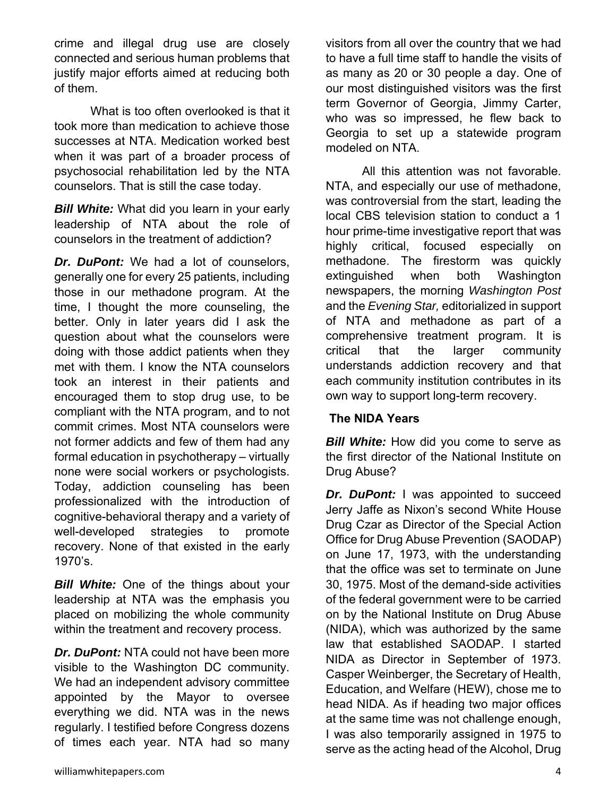crime and illegal drug use are closely connected and serious human problems that justify major efforts aimed at reducing both of them.

 What is too often overlooked is that it took more than medication to achieve those successes at NTA. Medication worked best when it was part of a broader process of psychosocial rehabilitation led by the NTA counselors. That is still the case today.

*Bill White:* What did you learn in your early leadership of NTA about the role of counselors in the treatment of addiction?

*Dr. DuPont:* We had a lot of counselors, generally one for every 25 patients, including those in our methadone program. At the time, I thought the more counseling, the better. Only in later years did I ask the question about what the counselors were doing with those addict patients when they met with them. I know the NTA counselors took an interest in their patients and encouraged them to stop drug use, to be compliant with the NTA program, and to not commit crimes. Most NTA counselors were not former addicts and few of them had any formal education in psychotherapy – virtually none were social workers or psychologists. Today, addiction counseling has been professionalized with the introduction of cognitive-behavioral therapy and a variety of well-developed strategies to promote recovery. None of that existed in the early 1970's.

*Bill White:* One of the things about your leadership at NTA was the emphasis you placed on mobilizing the whole community within the treatment and recovery process.

*Dr. DuPont:* NTA could not have been more visible to the Washington DC community. We had an independent advisory committee appointed by the Mayor to oversee everything we did. NTA was in the news regularly. I testified before Congress dozens of times each year. NTA had so many

visitors from all over the country that we had to have a full time staff to handle the visits of as many as 20 or 30 people a day. One of our most distinguished visitors was the first term Governor of Georgia, Jimmy Carter, who was so impressed, he flew back to Georgia to set up a statewide program modeled on NTA.

 All this attention was not favorable. NTA, and especially our use of methadone, was controversial from the start, leading the local CBS television station to conduct a 1 hour prime-time investigative report that was highly critical, focused especially on methadone. The firestorm was quickly extinguished when both Washington newspapers, the morning *Washington Post* and the *Evening Star,* editorialized in support of NTA and methadone as part of a comprehensive treatment program. It is critical that the larger community understands addiction recovery and that each community institution contributes in its own way to support long-term recovery.

# **The NIDA Years**

*Bill White:* How did you come to serve as the first director of the National Institute on Drug Abuse?

*Dr. DuPont:* I was appointed to succeed Jerry Jaffe as Nixon's second White House Drug Czar as Director of the Special Action Office for Drug Abuse Prevention (SAODAP) on June 17, 1973, with the understanding that the office was set to terminate on June 30, 1975. Most of the demand-side activities of the federal government were to be carried on by the National Institute on Drug Abuse (NIDA), which was authorized by the same law that established SAODAP. I started NIDA as Director in September of 1973. Casper Weinberger, the Secretary of Health, Education, and Welfare (HEW), chose me to head NIDA. As if heading two major offices at the same time was not challenge enough, I was also temporarily assigned in 1975 to serve as the acting head of the Alcohol, Drug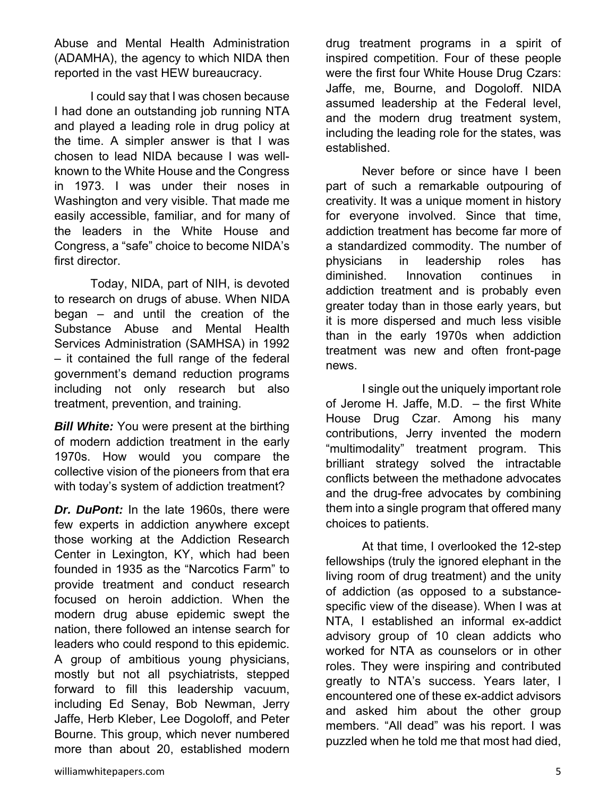Abuse and Mental Health Administration (ADAMHA), the agency to which NIDA then reported in the vast HEW bureaucracy.

 I could say that I was chosen because I had done an outstanding job running NTA and played a leading role in drug policy at the time. A simpler answer is that I was chosen to lead NIDA because I was wellknown to the White House and the Congress in 1973. I was under their noses in Washington and very visible. That made me easily accessible, familiar, and for many of the leaders in the White House and Congress, a "safe" choice to become NIDA's first director.

 Today, NIDA, part of NIH, is devoted to research on drugs of abuse. When NIDA began – and until the creation of the Substance Abuse and Mental Health Services Administration (SAMHSA) in 1992 – it contained the full range of the federal government's demand reduction programs including not only research but also treatment, prevention, and training.

*Bill White:* You were present at the birthing of modern addiction treatment in the early 1970s. How would you compare the collective vision of the pioneers from that era with today's system of addiction treatment?

*Dr. DuPont:* In the late 1960s, there were few experts in addiction anywhere except those working at the Addiction Research Center in Lexington, KY, which had been founded in 1935 as the "Narcotics Farm" to provide treatment and conduct research focused on heroin addiction. When the modern drug abuse epidemic swept the nation, there followed an intense search for leaders who could respond to this epidemic. A group of ambitious young physicians, mostly but not all psychiatrists, stepped forward to fill this leadership vacuum, including Ed Senay, Bob Newman, Jerry Jaffe, Herb Kleber, Lee Dogoloff, and Peter Bourne. This group, which never numbered more than about 20, established modern drug treatment programs in a spirit of inspired competition. Four of these people were the first four White House Drug Czars: Jaffe, me, Bourne, and Dogoloff. NIDA assumed leadership at the Federal level, and the modern drug treatment system, including the leading role for the states, was established.

 Never before or since have I been part of such a remarkable outpouring of creativity. It was a unique moment in history for everyone involved. Since that time, addiction treatment has become far more of a standardized commodity. The number of physicians in leadership roles has diminished. Innovation continues in addiction treatment and is probably even greater today than in those early years, but it is more dispersed and much less visible than in the early 1970s when addiction treatment was new and often front-page news.

 I single out the uniquely important role of Jerome H. Jaffe, M.D. – the first White House Drug Czar. Among his many contributions, Jerry invented the modern "multimodality" treatment program. This brilliant strategy solved the intractable conflicts between the methadone advocates and the drug-free advocates by combining them into a single program that offered many choices to patients.

 At that time, I overlooked the 12-step fellowships (truly the ignored elephant in the living room of drug treatment) and the unity of addiction (as opposed to a substancespecific view of the disease). When I was at NTA, I established an informal ex-addict advisory group of 10 clean addicts who worked for NTA as counselors or in other roles. They were inspiring and contributed greatly to NTA's success. Years later, I encountered one of these ex-addict advisors and asked him about the other group members. "All dead" was his report. I was puzzled when he told me that most had died,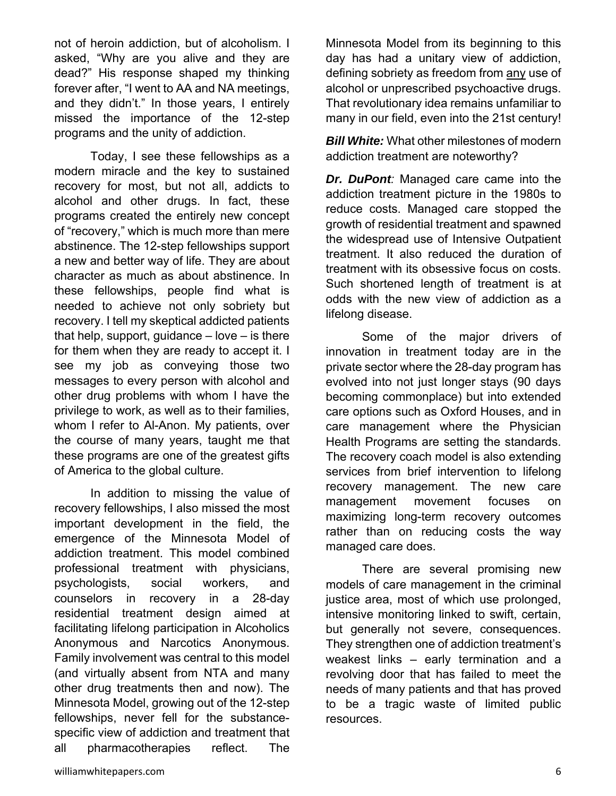not of heroin addiction, but of alcoholism. I asked, "Why are you alive and they are dead?" His response shaped my thinking forever after, "I went to AA and NA meetings, and they didn't." In those years, I entirely missed the importance of the 12-step programs and the unity of addiction.

 Today, I see these fellowships as a modern miracle and the key to sustained recovery for most, but not all, addicts to alcohol and other drugs. In fact, these programs created the entirely new concept of "recovery," which is much more than mere abstinence. The 12-step fellowships support a new and better way of life. They are about character as much as about abstinence. In these fellowships, people find what is needed to achieve not only sobriety but recovery. I tell my skeptical addicted patients that help, support, guidance  $-$  love  $-$  is there for them when they are ready to accept it. I see my job as conveying those two messages to every person with alcohol and other drug problems with whom I have the privilege to work, as well as to their families, whom I refer to Al-Anon. My patients, over the course of many years, taught me that these programs are one of the greatest gifts of America to the global culture.

 In addition to missing the value of recovery fellowships, I also missed the most important development in the field, the emergence of the Minnesota Model of addiction treatment. This model combined professional treatment with physicians, psychologists, social workers, and counselors in recovery in a 28-day residential treatment design aimed at facilitating lifelong participation in Alcoholics Anonymous and Narcotics Anonymous. Family involvement was central to this model (and virtually absent from NTA and many other drug treatments then and now). The Minnesota Model, growing out of the 12-step fellowships, never fell for the substancespecific view of addiction and treatment that all pharmacotherapies reflect. The

Minnesota Model from its beginning to this day has had a unitary view of addiction, defining sobriety as freedom from any use of alcohol or unprescribed psychoactive drugs. That revolutionary idea remains unfamiliar to many in our field, even into the 21st century!

*Bill White:* What other milestones of modern addiction treatment are noteworthy?

*Dr. DuPont:* Managed care came into the addiction treatment picture in the 1980s to reduce costs. Managed care stopped the growth of residential treatment and spawned the widespread use of Intensive Outpatient treatment. It also reduced the duration of treatment with its obsessive focus on costs. Such shortened length of treatment is at odds with the new view of addiction as a lifelong disease.

 Some of the major drivers of innovation in treatment today are in the private sector where the 28-day program has evolved into not just longer stays (90 days becoming commonplace) but into extended care options such as Oxford Houses, and in care management where the Physician Health Programs are setting the standards. The recovery coach model is also extending services from brief intervention to lifelong recovery management. The new care management movement focuses on maximizing long-term recovery outcomes rather than on reducing costs the way managed care does.

 There are several promising new models of care management in the criminal justice area, most of which use prolonged, intensive monitoring linked to swift, certain, but generally not severe, consequences. They strengthen one of addiction treatment's weakest links – early termination and a revolving door that has failed to meet the needs of many patients and that has proved to be a tragic waste of limited public resources.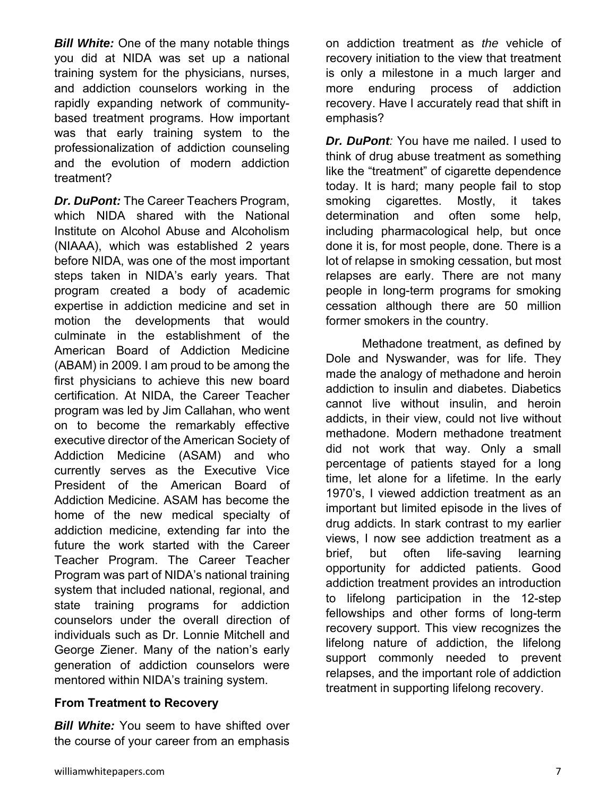**Bill White:** One of the many notable things you did at NIDA was set up a national training system for the physicians, nurses, and addiction counselors working in the rapidly expanding network of communitybased treatment programs. How important was that early training system to the professionalization of addiction counseling and the evolution of modern addiction treatment?

*Dr. DuPont:* The Career Teachers Program, which NIDA shared with the National Institute on Alcohol Abuse and Alcoholism (NIAAA), which was established 2 years before NIDA, was one of the most important steps taken in NIDA's early years. That program created a body of academic expertise in addiction medicine and set in motion the developments that would culminate in the establishment of the American Board of Addiction Medicine (ABAM) in 2009. I am proud to be among the first physicians to achieve this new board certification. At NIDA, the Career Teacher program was led by Jim Callahan, who went on to become the remarkably effective executive director of the American Society of Addiction Medicine (ASAM) and who currently serves as the Executive Vice President of the American Board of Addiction Medicine. ASAM has become the home of the new medical specialty of addiction medicine, extending far into the future the work started with the Career Teacher Program. The Career Teacher Program was part of NIDA's national training system that included national, regional, and state training programs for addiction counselors under the overall direction of individuals such as Dr. Lonnie Mitchell and George Ziener. Many of the nation's early generation of addiction counselors were mentored within NIDA's training system.

#### **From Treatment to Recovery**

**Bill White:** You seem to have shifted over the course of your career from an emphasis

on addiction treatment as *the* vehicle of recovery initiation to the view that treatment is only a milestone in a much larger and more enduring process of addiction recovery. Have I accurately read that shift in emphasis?

*Dr. DuPont:* You have me nailed. I used to think of drug abuse treatment as something like the "treatment" of cigarette dependence today. It is hard; many people fail to stop smoking cigarettes. Mostly, it takes determination and often some help, including pharmacological help, but once done it is, for most people, done. There is a lot of relapse in smoking cessation, but most relapses are early. There are not many people in long-term programs for smoking cessation although there are 50 million former smokers in the country.

 Methadone treatment, as defined by Dole and Nyswander, was for life. They made the analogy of methadone and heroin addiction to insulin and diabetes. Diabetics cannot live without insulin, and heroin addicts, in their view, could not live without methadone. Modern methadone treatment did not work that way. Only a small percentage of patients stayed for a long time, let alone for a lifetime. In the early 1970's, I viewed addiction treatment as an important but limited episode in the lives of drug addicts. In stark contrast to my earlier views, I now see addiction treatment as a brief, but often life-saving learning opportunity for addicted patients. Good addiction treatment provides an introduction to lifelong participation in the 12-step fellowships and other forms of long-term recovery support. This view recognizes the lifelong nature of addiction, the lifelong support commonly needed to prevent relapses, and the important role of addiction treatment in supporting lifelong recovery.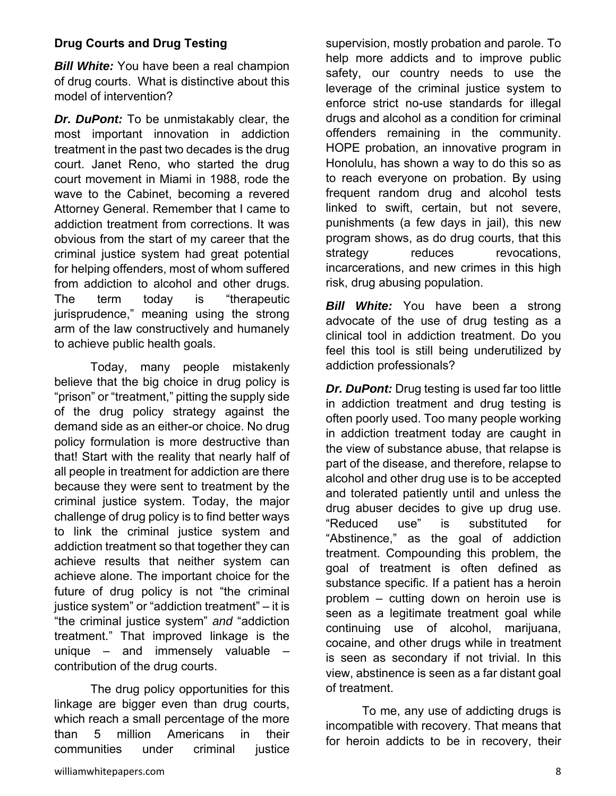# **Drug Courts and Drug Testing**

*Bill White:* You have been a real champion of drug courts. What is distinctive about this model of intervention?

*Dr. DuPont:* To be unmistakably clear, the most important innovation in addiction treatment in the past two decades is the drug court. Janet Reno, who started the drug court movement in Miami in 1988, rode the wave to the Cabinet, becoming a revered Attorney General. Remember that I came to addiction treatment from corrections. It was obvious from the start of my career that the criminal justice system had great potential for helping offenders, most of whom suffered from addiction to alcohol and other drugs. The term today is "therapeutic jurisprudence," meaning using the strong arm of the law constructively and humanely to achieve public health goals.

 Today, many people mistakenly believe that the big choice in drug policy is "prison" or "treatment," pitting the supply side of the drug policy strategy against the demand side as an either-or choice. No drug policy formulation is more destructive than that! Start with the reality that nearly half of all people in treatment for addiction are there because they were sent to treatment by the criminal justice system. Today, the major challenge of drug policy is to find better ways to link the criminal justice system and addiction treatment so that together they can achieve results that neither system can achieve alone. The important choice for the future of drug policy is not "the criminal justice system" or "addiction treatment" – it is "the criminal justice system" *and* "addiction treatment." That improved linkage is the unique – and immensely valuable – contribution of the drug courts.

 The drug policy opportunities for this linkage are bigger even than drug courts, which reach a small percentage of the more than 5 million Americans in their communities under criminal justice

supervision, mostly probation and parole. To help more addicts and to improve public safety, our country needs to use the leverage of the criminal justice system to enforce strict no-use standards for illegal drugs and alcohol as a condition for criminal offenders remaining in the community. HOPE probation, an innovative program in Honolulu, has shown a way to do this so as to reach everyone on probation. By using frequent random drug and alcohol tests linked to swift, certain, but not severe, punishments (a few days in jail), this new program shows, as do drug courts, that this strategy reduces revocations, incarcerations, and new crimes in this high risk, drug abusing population.

*Bill White:* You have been a strong advocate of the use of drug testing as a clinical tool in addiction treatment. Do you feel this tool is still being underutilized by addiction professionals?

*Dr. DuPont:* Drug testing is used far too little in addiction treatment and drug testing is often poorly used. Too many people working in addiction treatment today are caught in the view of substance abuse, that relapse is part of the disease, and therefore, relapse to alcohol and other drug use is to be accepted and tolerated patiently until and unless the drug abuser decides to give up drug use. "Reduced use" is substituted for "Abstinence," as the goal of addiction treatment. Compounding this problem, the goal of treatment is often defined as substance specific. If a patient has a heroin problem – cutting down on heroin use is seen as a legitimate treatment goal while continuing use of alcohol, marijuana, cocaine, and other drugs while in treatment is seen as secondary if not trivial. In this view, abstinence is seen as a far distant goal of treatment.

 To me, any use of addicting drugs is incompatible with recovery. That means that for heroin addicts to be in recovery, their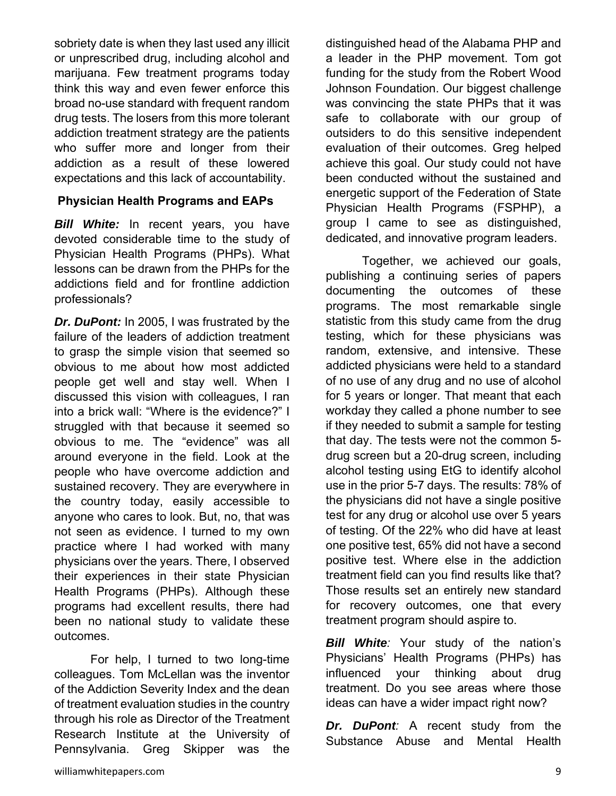sobriety date is when they last used any illicit or unprescribed drug, including alcohol and marijuana. Few treatment programs today think this way and even fewer enforce this broad no-use standard with frequent random drug tests. The losers from this more tolerant addiction treatment strategy are the patients who suffer more and longer from their addiction as a result of these lowered expectations and this lack of accountability.

#### **Physician Health Programs and EAPs**

*Bill White:* In recent years, you have devoted considerable time to the study of Physician Health Programs (PHPs). What lessons can be drawn from the PHPs for the addictions field and for frontline addiction professionals?

*Dr. DuPont:* In 2005, I was frustrated by the failure of the leaders of addiction treatment to grasp the simple vision that seemed so obvious to me about how most addicted people get well and stay well. When I discussed this vision with colleagues, I ran into a brick wall: "Where is the evidence?" I struggled with that because it seemed so obvious to me. The "evidence" was all around everyone in the field. Look at the people who have overcome addiction and sustained recovery. They are everywhere in the country today, easily accessible to anyone who cares to look. But, no, that was not seen as evidence. I turned to my own practice where I had worked with many physicians over the years. There, I observed their experiences in their state Physician Health Programs (PHPs). Although these programs had excellent results, there had been no national study to validate these outcomes.

 For help, I turned to two long-time colleagues. Tom McLellan was the inventor of the Addiction Severity Index and the dean of treatment evaluation studies in the country through his role as Director of the Treatment Research Institute at the University of Pennsylvania. Greg Skipper was the

distinguished head of the Alabama PHP and a leader in the PHP movement. Tom got funding for the study from the Robert Wood Johnson Foundation. Our biggest challenge was convincing the state PHPs that it was safe to collaborate with our group of outsiders to do this sensitive independent evaluation of their outcomes. Greg helped achieve this goal. Our study could not have been conducted without the sustained and energetic support of the Federation of State Physician Health Programs (FSPHP), a group I came to see as distinguished, dedicated, and innovative program leaders.

 Together, we achieved our goals, publishing a continuing series of papers documenting the outcomes of these programs. The most remarkable single statistic from this study came from the drug testing, which for these physicians was random, extensive, and intensive. These addicted physicians were held to a standard of no use of any drug and no use of alcohol for 5 years or longer. That meant that each workday they called a phone number to see if they needed to submit a sample for testing that day. The tests were not the common 5 drug screen but a 20-drug screen, including alcohol testing using EtG to identify alcohol use in the prior 5-7 days. The results: 78% of the physicians did not have a single positive test for any drug or alcohol use over 5 years of testing. Of the 22% who did have at least one positive test, 65% did not have a second positive test. Where else in the addiction treatment field can you find results like that? Those results set an entirely new standard for recovery outcomes, one that every treatment program should aspire to.

*Bill White:* Your study of the nation's Physicians' Health Programs (PHPs) has influenced your thinking about drug treatment. Do you see areas where those ideas can have a wider impact right now?

*Dr. DuPont:* A recent study from the Substance Abuse and Mental Health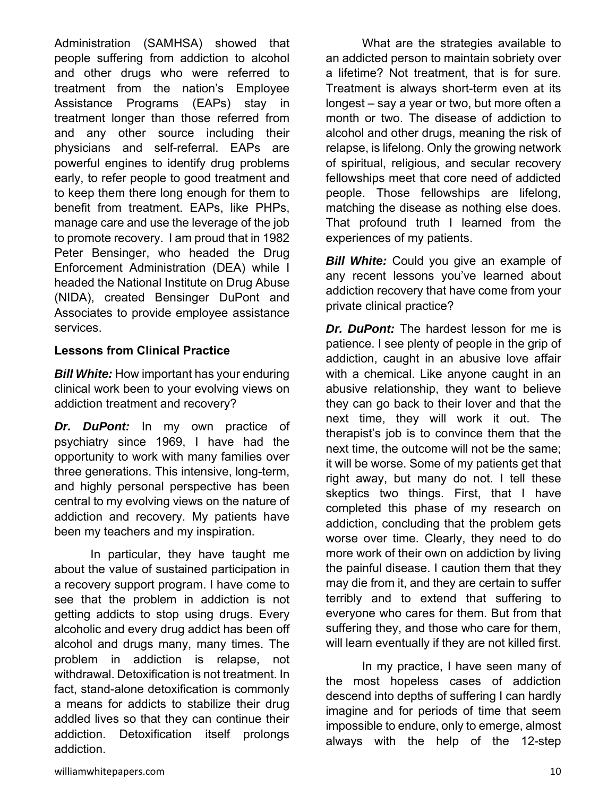Administration (SAMHSA) showed that people suffering from addiction to alcohol and other drugs who were referred to treatment from the nation's Employee Assistance Programs (EAPs) stay in treatment longer than those referred from and any other source including their physicians and self-referral. EAPs are powerful engines to identify drug problems early, to refer people to good treatment and to keep them there long enough for them to benefit from treatment. EAPs, like PHPs, manage care and use the leverage of the job to promote recovery. I am proud that in 1982 Peter Bensinger, who headed the Drug Enforcement Administration (DEA) while I headed the National Institute on Drug Abuse (NIDA), created Bensinger DuPont and Associates to provide employee assistance services.

# **Lessons from Clinical Practice**

*Bill White:* How important has your enduring clinical work been to your evolving views on addiction treatment and recovery?

*Dr. DuPont:* In my own practice of psychiatry since 1969, I have had the opportunity to work with many families over three generations. This intensive, long-term, and highly personal perspective has been central to my evolving views on the nature of addiction and recovery. My patients have been my teachers and my inspiration.

 In particular, they have taught me about the value of sustained participation in a recovery support program. I have come to see that the problem in addiction is not getting addicts to stop using drugs. Every alcoholic and every drug addict has been off alcohol and drugs many, many times. The problem in addiction is relapse, not withdrawal. Detoxification is not treatment. In fact, stand-alone detoxification is commonly a means for addicts to stabilize their drug addled lives so that they can continue their addiction. Detoxification itself prolongs addiction.

 What are the strategies available to an addicted person to maintain sobriety over a lifetime? Not treatment, that is for sure. Treatment is always short-term even at its longest – say a year or two, but more often a month or two. The disease of addiction to alcohol and other drugs, meaning the risk of relapse, is lifelong. Only the growing network of spiritual, religious, and secular recovery fellowships meet that core need of addicted people. Those fellowships are lifelong, matching the disease as nothing else does. That profound truth I learned from the experiences of my patients.

**Bill White:** Could you give an example of any recent lessons you've learned about addiction recovery that have come from your private clinical practice?

*Dr. DuPont:* The hardest lesson for me is patience. I see plenty of people in the grip of addiction, caught in an abusive love affair with a chemical. Like anyone caught in an abusive relationship, they want to believe they can go back to their lover and that the next time, they will work it out. The therapist's job is to convince them that the next time, the outcome will not be the same; it will be worse. Some of my patients get that right away, but many do not. I tell these skeptics two things. First, that I have completed this phase of my research on addiction, concluding that the problem gets worse over time. Clearly, they need to do more work of their own on addiction by living the painful disease. I caution them that they may die from it, and they are certain to suffer terribly and to extend that suffering to everyone who cares for them. But from that suffering they, and those who care for them, will learn eventually if they are not killed first.

 In my practice, I have seen many of the most hopeless cases of addiction descend into depths of suffering I can hardly imagine and for periods of time that seem impossible to endure, only to emerge, almost always with the help of the 12-step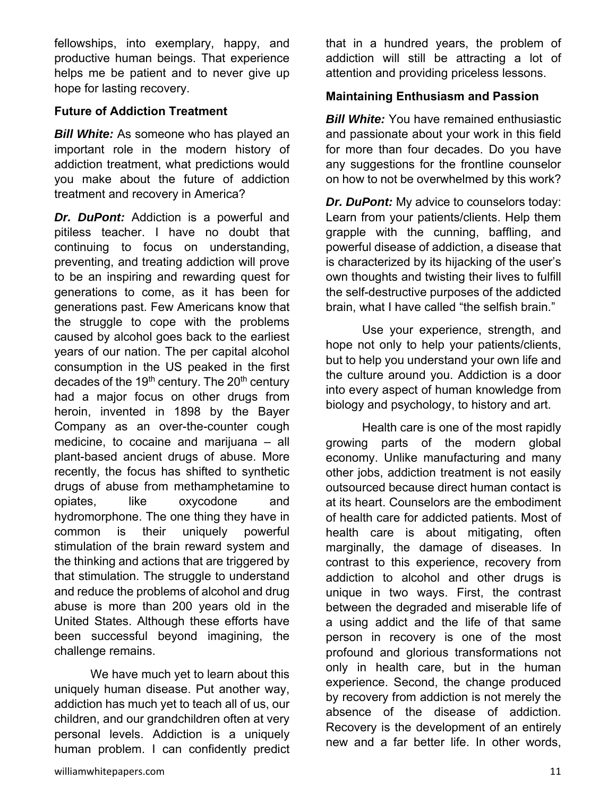fellowships, into exemplary, happy, and productive human beings. That experience helps me be patient and to never give up hope for lasting recovery.

#### **Future of Addiction Treatment**

**Bill White:** As someone who has played an important role in the modern history of addiction treatment, what predictions would you make about the future of addiction treatment and recovery in America?

*Dr. DuPont:* Addiction is a powerful and pitiless teacher. I have no doubt that continuing to focus on understanding, preventing, and treating addiction will prove to be an inspiring and rewarding quest for generations to come, as it has been for generations past. Few Americans know that the struggle to cope with the problems caused by alcohol goes back to the earliest years of our nation. The per capital alcohol consumption in the US peaked in the first decades of the  $19<sup>th</sup>$  century. The  $20<sup>th</sup>$  century had a major focus on other drugs from heroin, invented in 1898 by the Bayer Company as an over-the-counter cough medicine, to cocaine and marijuana – all plant-based ancient drugs of abuse. More recently, the focus has shifted to synthetic drugs of abuse from methamphetamine to opiates, like oxycodone and hydromorphone. The one thing they have in common is their uniquely powerful stimulation of the brain reward system and the thinking and actions that are triggered by that stimulation. The struggle to understand and reduce the problems of alcohol and drug abuse is more than 200 years old in the United States. Although these efforts have been successful beyond imagining, the challenge remains.

 We have much yet to learn about this uniquely human disease. Put another way, addiction has much yet to teach all of us, our children, and our grandchildren often at very personal levels. Addiction is a uniquely human problem. I can confidently predict that in a hundred years, the problem of addiction will still be attracting a lot of attention and providing priceless lessons.

### **Maintaining Enthusiasm and Passion**

*Bill White:* You have remained enthusiastic and passionate about your work in this field for more than four decades. Do you have any suggestions for the frontline counselor on how to not be overwhelmed by this work?

*Dr. DuPont:* My advice to counselors today: Learn from your patients/clients. Help them grapple with the cunning, baffling, and powerful disease of addiction, a disease that is characterized by its hijacking of the user's own thoughts and twisting their lives to fulfill the self-destructive purposes of the addicted brain, what I have called "the selfish brain."

 Use your experience, strength, and hope not only to help your patients/clients, but to help you understand your own life and the culture around you. Addiction is a door into every aspect of human knowledge from biology and psychology, to history and art.

 Health care is one of the most rapidly growing parts of the modern global economy. Unlike manufacturing and many other jobs, addiction treatment is not easily outsourced because direct human contact is at its heart. Counselors are the embodiment of health care for addicted patients. Most of health care is about mitigating, often marginally, the damage of diseases. In contrast to this experience, recovery from addiction to alcohol and other drugs is unique in two ways. First, the contrast between the degraded and miserable life of a using addict and the life of that same person in recovery is one of the most profound and glorious transformations not only in health care, but in the human experience. Second, the change produced by recovery from addiction is not merely the absence of the disease of addiction. Recovery is the development of an entirely new and a far better life. In other words,